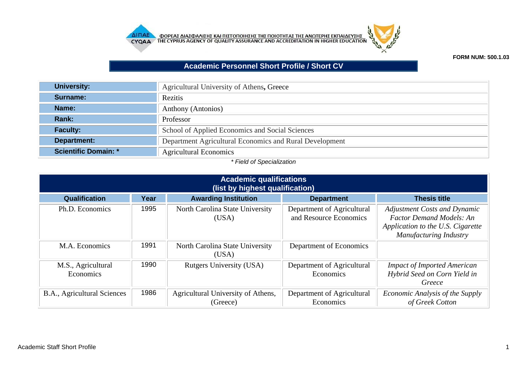



## **FORM NUM: 500.1.03**

## **Academic Personnel Short Profile / Short CV**

| <b>University:</b>          | Agricultural University of Athens, Greece               |
|-----------------------------|---------------------------------------------------------|
| Surname:                    | Rezitis                                                 |
| Name:                       | Anthony (Antonios)                                      |
| Rank:                       | Professor                                               |
| <b>Faculty:</b>             | School of Applied Economics and Social Sciences         |
| Department:                 | Department Agricultural Economics and Rural Development |
| <b>Scientific Domain: *</b> | <b>Agricultural Economics</b>                           |

## *\* Field of Specialization*

|                                 | <b>Academic qualifications</b><br>(list by highest qualification) |                                                |                                                      |                                                                                                                                              |  |
|---------------------------------|-------------------------------------------------------------------|------------------------------------------------|------------------------------------------------------|----------------------------------------------------------------------------------------------------------------------------------------------|--|
| Qualification                   | Year                                                              | <b>Awarding Institution</b>                    | <b>Department</b>                                    | <b>Thesis title</b>                                                                                                                          |  |
| Ph.D. Economics                 | 1995                                                              | North Carolina State University<br>(USA)       | Department of Agricultural<br>and Resource Economics | <b>Adjustment Costs and Dynamic</b><br><b>Factor Demand Models: An</b><br>Application to the U.S. Cigarette<br><b>Manufacturing Industry</b> |  |
| M.A. Economics                  | 1991                                                              | North Carolina State University<br>(USA)       | Department of Economics                              |                                                                                                                                              |  |
| M.S., Agricultural<br>Economics | 1990                                                              | Rutgers University (USA)                       | Department of Agricultural<br>Economics              | <b>Impact of Imported American</b><br>Hybrid Seed on Corn Yield in<br>Greece                                                                 |  |
| B.A., Agricultural Sciences     | 1986                                                              | Agricultural University of Athens,<br>(Greece) | Department of Agricultural<br>Economics              | Economic Analysis of the Supply<br>of Greek Cotton                                                                                           |  |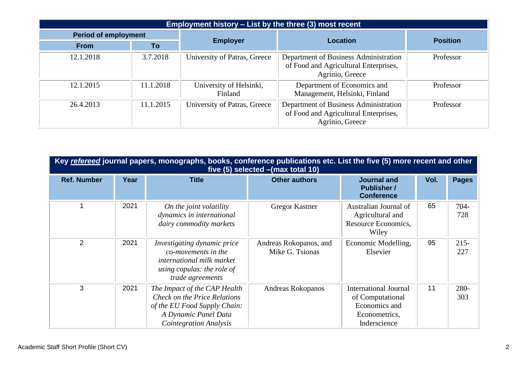| Employment history - List by the three (3) most recent |                             |                                    |                                                                                                   |                 |
|--------------------------------------------------------|-----------------------------|------------------------------------|---------------------------------------------------------------------------------------------------|-----------------|
|                                                        | <b>Period of employment</b> |                                    | <b>Location</b>                                                                                   | <b>Position</b> |
| <b>From</b>                                            | To                          | <b>Employer</b>                    |                                                                                                   |                 |
| 12.1.2018                                              | 3.7.2018                    | University of Patras, Greece       | Department of Business Administration<br>of Food and Agricultural Enterprises,<br>Agrinio, Greece | Professor       |
| 12.1.2015                                              | 11.1.2018                   | University of Helsinki,<br>Finland | Department of Economics and<br>Management, Helsinki, Finland                                      | Professor       |
| 26.4.2013                                              | 11.1.2015                   | University of Patras, Greece       | Department of Business Administration<br>of Food and Agricultural Enterprises,<br>Agrinio, Greece | Professor       |

|                    | Key refereed journal papers, monographs, books, conference publications etc. List the five (5) more recent and other<br>five (5) selected - (max total 10) |                                                                                                                                                       |                                           |                                                                                                    |      |                |
|--------------------|------------------------------------------------------------------------------------------------------------------------------------------------------------|-------------------------------------------------------------------------------------------------------------------------------------------------------|-------------------------------------------|----------------------------------------------------------------------------------------------------|------|----------------|
| <b>Ref. Number</b> | Year                                                                                                                                                       | <b>Title</b>                                                                                                                                          | <b>Other authors</b>                      | <b>Journal and</b><br><b>Publisher /</b><br><b>Conference</b>                                      | Vol. | <b>Pages</b>   |
|                    | 2021                                                                                                                                                       | On the joint volatility<br>dynamics in international<br>dairy commodity markets                                                                       | Gregor Kastner                            | Australian Journal of<br>Agricultural and<br>Resource Economics,<br>Wiley                          | 65   | $704 -$<br>728 |
| 2                  | 2021                                                                                                                                                       | <i>Investigating dynamic price</i><br>co-movements in the<br>international milk market<br>using copulas: the role of<br>trade agreements              | Andreas Rokopanos, and<br>Mike G. Tsionas | Economic Modelling,<br>Elsevier                                                                    | 95   | $215 -$<br>227 |
| 3                  | 2021                                                                                                                                                       | The Impact of the CAP Health<br>Check on the Price Relations<br>of the EU Food Supply Chain:<br>A Dynamic Panel Data<br><b>Cointegration Analysis</b> | Andreas Rokopanos                         | <b>International Journal</b><br>of Computational<br>Economics and<br>Econometrics,<br>Inderscience | 11   | 280-<br>303    |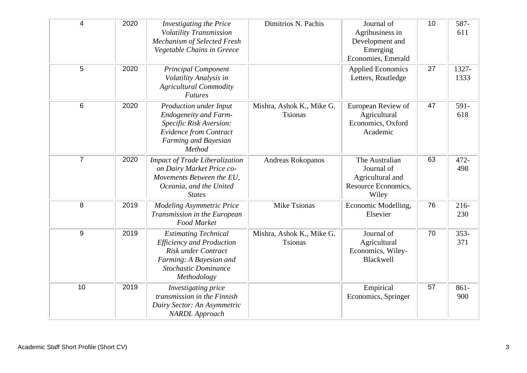| 4              | 2020 | <b>Investigating the Price</b><br>Volatility Transmission<br>Mechanism of Selected Fresh<br>Vegetable Chains in Greece                                                 | Dimitrios N. Pachis                         | Journal of<br>Agribusiness in<br>Development and<br>Emerging<br>Economies, Emerald | 10 | 587-<br>611    |
|----------------|------|------------------------------------------------------------------------------------------------------------------------------------------------------------------------|---------------------------------------------|------------------------------------------------------------------------------------|----|----------------|
| 5              | 2020 | <b>Principal Component</b><br>Volatility Analysis in<br><b>Agricultural Commodity</b><br><b>Futures</b>                                                                |                                             | <b>Applied Economics</b><br>Letters, Routledge                                     | 27 | 1327-<br>1333  |
| 6              | 2020 | Production under Input<br><b>Endogeneity and Farm-</b><br>Specific Risk Aversion:<br><b>Evidence from Contract</b><br>Farming and Bayesian<br>Method                   | Mishra, Ashok K., Mike G.<br><b>Tsionas</b> | European Review of<br>Agricultural<br>Economics, Oxford<br>Academic                | 47 | 591-<br>618    |
| $\overline{7}$ | 2020 | <b>Impact of Trade Liberalization</b><br>on Dairy Market Price co-<br>Movements Between the EU,<br>Oceania, and the United<br><b>States</b>                            | Andreas Rokopanos                           | The Australian<br>Journal of<br>Agricultural and<br>Resource Economics,<br>Wiley   | 63 | 472-<br>498    |
| 8              | 2019 | <b>Modeling Asymmetric Price</b><br>Transmission in the European<br><b>Food Market</b>                                                                                 | Mike Tsionas                                | Economic Modelling,<br>Elsevier                                                    | 76 | $216 -$<br>230 |
| 9              | 2019 | <b>Estimating Technical</b><br><b>Efficiency and Production</b><br><b>Risk under Contract</b><br>Farming: A Bayesian and<br><b>Stochastic Dominance</b><br>Methodology | Mishra, Ashok K., Mike G.<br><b>Tsionas</b> | Journal of<br>Agricultural<br>Economics, Wiley-<br><b>Blackwell</b>                | 70 | $353-$<br>371  |
| 10             | 2019 | Investigating price<br>transmission in the Finnish<br>Dairy Sector: An Asymmetric<br><b>NARDL</b> Approach                                                             |                                             | Empirical<br>Economics, Springer                                                   | 57 | $861 -$<br>900 |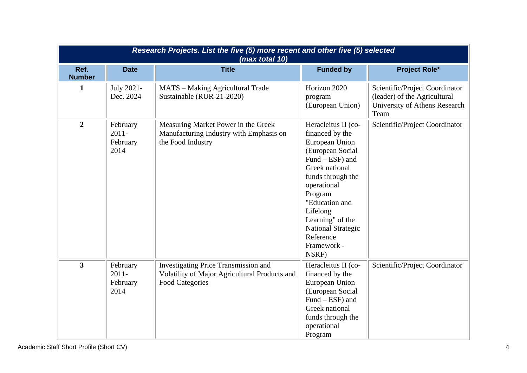|                       |                                          | Research Projects. List the five (5) more recent and other five (5) selected<br>(max total 10)                  |                                                                                                                                                                                                                                                                                      |                                                                                                         |
|-----------------------|------------------------------------------|-----------------------------------------------------------------------------------------------------------------|--------------------------------------------------------------------------------------------------------------------------------------------------------------------------------------------------------------------------------------------------------------------------------------|---------------------------------------------------------------------------------------------------------|
| Ref.<br><b>Number</b> | <b>Date</b>                              | <b>Title</b>                                                                                                    | <b>Funded by</b>                                                                                                                                                                                                                                                                     | <b>Project Role*</b>                                                                                    |
| 1                     | July 2021-<br>Dec. 2024                  | MATS - Making Agricultural Trade<br>Sustainable (RUR-21-2020)                                                   | Horizon 2020<br>program<br>(European Union)                                                                                                                                                                                                                                          | Scientific/Project Coordinator<br>(leader) of the Agricultural<br>University of Athens Research<br>Team |
| $\overline{2}$        | February<br>$2011 -$<br>February<br>2014 | Measuring Market Power in the Greek<br>Manufacturing Industry with Emphasis on<br>the Food Industry             | Heracleitus II (co-<br>financed by the<br>European Union<br>(European Social<br>Fund – ESF) and<br>Greek national<br>funds through the<br>operational<br>Program<br>"Education and<br>Lifelong<br>Learning" of the<br><b>National Strategic</b><br>Reference<br>Framework -<br>NSRF) | Scientific/Project Coordinator                                                                          |
| 3                     | February<br>$2011 -$<br>February<br>2014 | Investigating Price Transmission and<br>Volatility of Major Agricultural Products and<br><b>Food Categories</b> | Heracleitus II (co-<br>financed by the<br>European Union<br>(European Social<br>Fund – ESF) and<br>Greek national<br>funds through the<br>operational<br>Program                                                                                                                     | Scientific/Project Coordinator                                                                          |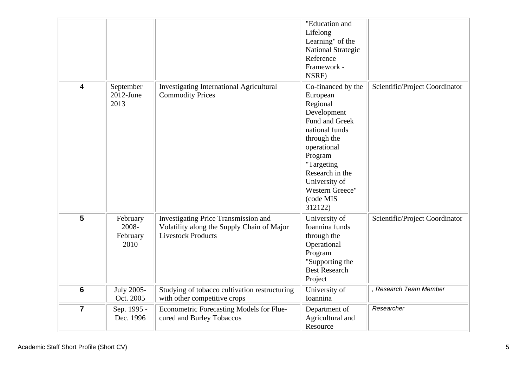|                         |                                       |                                                                                                                 | "Education and<br>Lifelong<br>Learning" of the<br><b>National Strategic</b><br>Reference<br>Framework -<br>NSRF)                                                                                                                    |                                |
|-------------------------|---------------------------------------|-----------------------------------------------------------------------------------------------------------------|-------------------------------------------------------------------------------------------------------------------------------------------------------------------------------------------------------------------------------------|--------------------------------|
| $\overline{\mathbf{4}}$ | September<br>$2012$ -June<br>2013     | <b>Investigating International Agricultural</b><br><b>Commodity Prices</b>                                      | Co-financed by the<br>European<br>Regional<br>Development<br>Fund and Greek<br>national funds<br>through the<br>operational<br>Program<br>"Targeting<br>Research in the<br>University of<br>Western Greece"<br>(code MIS<br>312122) | Scientific/Project Coordinator |
| 5                       | February<br>2008-<br>February<br>2010 | Investigating Price Transmission and<br>Volatility along the Supply Chain of Major<br><b>Livestock Products</b> | University of<br>Ioannina funds<br>through the<br>Operational<br>Program<br>"Supporting the<br><b>Best Research</b><br>Project                                                                                                      | Scientific/Project Coordinator |
| $6\phantom{1}$          | <b>July 2005-</b><br>Oct. 2005        | Studying of tobacco cultivation restructuring<br>with other competitive crops                                   | University of<br>Ioannina                                                                                                                                                                                                           | , Research Team Member         |
| $\overline{7}$          | Sep. 1995 -<br>Dec. 1996              | Econometric Forecasting Models for Flue-<br>cured and Burley Tobaccos                                           | Department of<br>Agricultural and<br>Resource                                                                                                                                                                                       | Researcher                     |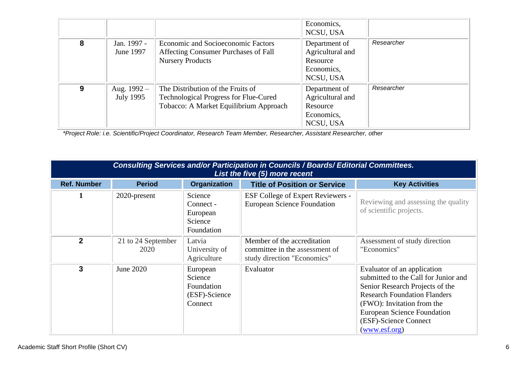|   |                            |                                                                                                                             | Economics,<br>NCSU, USA                                                  |            |
|---|----------------------------|-----------------------------------------------------------------------------------------------------------------------------|--------------------------------------------------------------------------|------------|
| 8 | Jan. 1997 -<br>June 1997   | <b>Economic and Socioeconomic Factors</b><br>Affecting Consumer Purchases of Fall<br><b>Nursery Products</b>                | Department of<br>Agricultural and<br>Resource<br>Economics,<br>NCSU, USA | Researcher |
| 9 | Aug. $1992 -$<br>July 1995 | The Distribution of the Fruits of<br><b>Technological Progress for Flue-Cured</b><br>Tobacco: A Market Equilibrium Approach | Department of<br>Agricultural and<br>Resource<br>Economics,<br>NCSU, USA | Researcher |

*\*Project Role: i.e. Scientific/Project Coordinator, Research Team Member, Researcher, Assistant Researcher, other*

|                    |                            |                                                               | Consulting Services and/or Participation in Councils / Boards/ Editorial Committees.<br>List the five (5) more recent |                                                                                                                                                                                                                                                                      |
|--------------------|----------------------------|---------------------------------------------------------------|-----------------------------------------------------------------------------------------------------------------------|----------------------------------------------------------------------------------------------------------------------------------------------------------------------------------------------------------------------------------------------------------------------|
| <b>Ref. Number</b> | <b>Period</b>              | <b>Organization</b>                                           | <b>Title of Position or Service</b>                                                                                   | <b>Key Activities</b>                                                                                                                                                                                                                                                |
| 1                  | 2020-present               | Science<br>Connect -<br>European<br>Science<br>Foundation     | <b>ESF College of Expert Reviewers -</b><br><b>European Science Foundation</b>                                        | Reviewing and assessing the quality<br>of scientific projects.                                                                                                                                                                                                       |
| $\mathbf{2}$       | 21 to 24 September<br>2020 | Latvia<br>University of<br>Agriculture                        | Member of the accreditation<br>committee in the assessment of<br>study direction "Economics"                          | Assessment of study direction<br>"Economics"                                                                                                                                                                                                                         |
| 3                  | June 2020                  | European<br>Science<br>Foundation<br>(ESF)-Science<br>Connect | Evaluator                                                                                                             | Evaluator of an application<br>submitted to the Call for Junior and<br>Senior Research Projects of the<br><b>Research Foundation Flanders</b><br>(FWO): Invitation from the<br><b>European Science Foundation</b><br>(ESF)-Science Connect<br>( <u>www.esf.org</u> ) |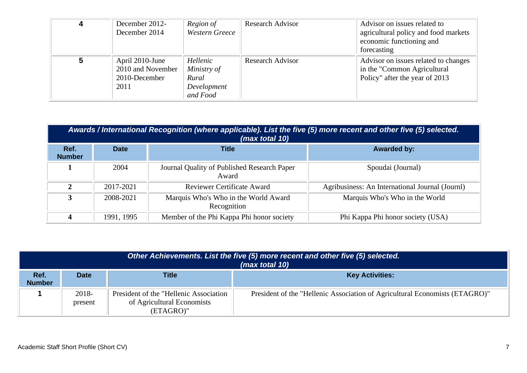| December 2012-<br>December 2014                               | Region of<br><b>Western Greece</b>                          | <b>Research Advisor</b> | Advisor on issues related to<br>agricultural policy and food markets<br>economic functioning and<br>forecasting |
|---------------------------------------------------------------|-------------------------------------------------------------|-------------------------|-----------------------------------------------------------------------------------------------------------------|
| April 2010-June<br>2010 and November<br>2010-December<br>2011 | Hellenic<br>Ministry of<br>Rural<br>Development<br>and Food | <b>Research Advisor</b> | Advisor on issues related to changes<br>in the "Common Agricultural"<br>Policy" after the year of 2013          |

|                       | Awards / International Recognition (where applicable). List the five (5) more recent and other five (5) selected.<br>(max total 10) |                                                      |                                                 |  |  |  |
|-----------------------|-------------------------------------------------------------------------------------------------------------------------------------|------------------------------------------------------|-------------------------------------------------|--|--|--|
| Ref.<br><b>Number</b> | <b>Date</b>                                                                                                                         | <b>Title</b>                                         | <b>Awarded by:</b>                              |  |  |  |
|                       | 2004                                                                                                                                | Journal Quality of Published Research Paper<br>Award | Spoudai (Journal)                               |  |  |  |
| C.                    | 2017-2021                                                                                                                           | <b>Reviewer Certificate Award</b>                    | Agribusiness: An International Journal (Journl) |  |  |  |
| 3                     | 2008-2021                                                                                                                           | Marquis Who's Who in the World Award<br>Recognition  | Marquis Who's Who in the World                  |  |  |  |
|                       | 1991, 1995                                                                                                                          | Member of the Phi Kappa Phi honor society            | Phi Kappa Phi honor society (USA)               |  |  |  |

|                       |                  |                                                                                    | Other Achievements. List the five (5) more recent and other five (5) selected.<br>(max total 10) |
|-----------------------|------------------|------------------------------------------------------------------------------------|--------------------------------------------------------------------------------------------------|
| Ref.<br><b>Number</b> | <b>Date</b>      | <b>Title</b>                                                                       | <b>Key Activities:</b>                                                                           |
|                       | 2018-<br>present | President of the "Hellenic Association"<br>of Agricultural Economists<br>(ETAGRO)" | President of the "Hellenic Association of Agricultural Economists (ETAGRO)"                      |